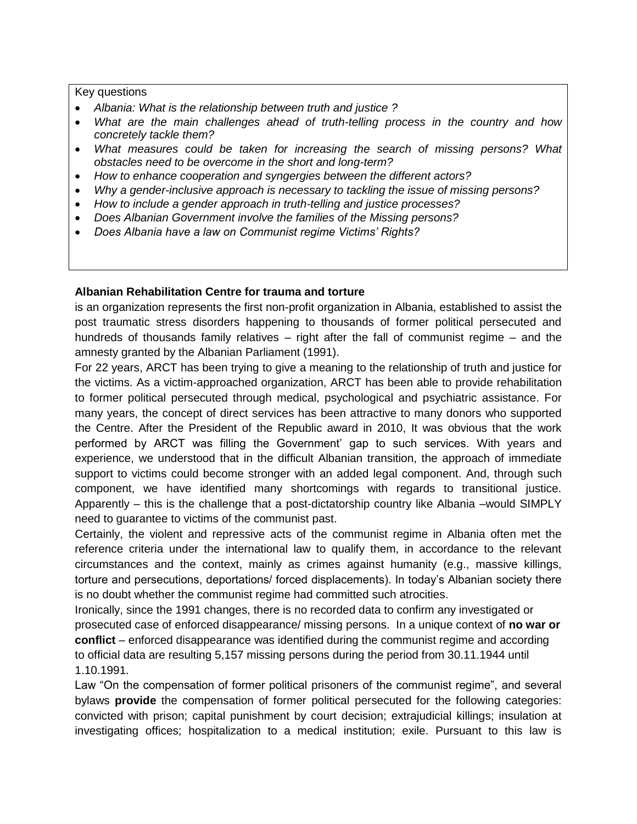## Key questions

- *Albania: What is the relationship between truth and justice ?*
- *What are the main challenges ahead of truth-telling process in the country and how concretely tackle them?*
- *What measures could be taken for increasing the search of missing persons? What obstacles need to be overcome in the short and long-term?*
- *How to enhance cooperation and syngergies between the different actors?*
- *Why a gender-inclusive approach is necessary to tackling the issue of missing persons?*
- *How to include a gender approach in truth-telling and justice processes?*
- *Does Albanian Government involve the families of the Missing persons?*
- *Does Albania have a law on Communist regime Victims' Rights?*

## **Albanian Rehabilitation Centre for trauma and torture**

is an organization represents the first non-profit organization in Albania, established to assist the post traumatic stress disorders happening to thousands of former political persecuted and hundreds of thousands family relatives – right after the fall of communist regime – and the amnesty granted by the Albanian Parliament (1991).

For 22 years, ARCT has been trying to give a meaning to the relationship of truth and justice for the victims. As a victim-approached organization, ARCT has been able to provide rehabilitation to former political persecuted through medical, psychological and psychiatric assistance. For many years, the concept of direct services has been attractive to many donors who supported the Centre. After the President of the Republic award in 2010, It was obvious that the work performed by ARCT was filling the Government' gap to such services. With years and experience, we understood that in the difficult Albanian transition, the approach of immediate support to victims could become stronger with an added legal component. And, through such component, we have identified many shortcomings with regards to transitional justice. Apparently – this is the challenge that a post-dictatorship country like Albania –would SIMPLY need to guarantee to victims of the communist past.

Certainly, the violent and repressive acts of the communist regime in Albania often met the reference criteria under the international law to qualify them, in accordance to the relevant circumstances and the context, mainly as crimes against humanity (e.g., massive killings, torture and persecutions, deportations/ forced displacements). In today's Albanian society there is no doubt whether the communist regime had committed such atrocities.

Ironically, since the 1991 changes, there is no recorded data to confirm any investigated or prosecuted case of enforced disappearance/ missing persons. In a unique context of **no war or conflict** – enforced disappearance was identified during the communist regime and according to official data are resulting 5,157 missing persons during the period from 30.11.1944 until 1.10.1991.

Law "On the compensation of former political prisoners of the communist regime", and several bylaws **provide** the compensation of former political persecuted for the following categories: convicted with prison; capital punishment by court decision; extrajudicial killings; insulation at investigating offices; hospitalization to a medical institution; exile. Pursuant to this law is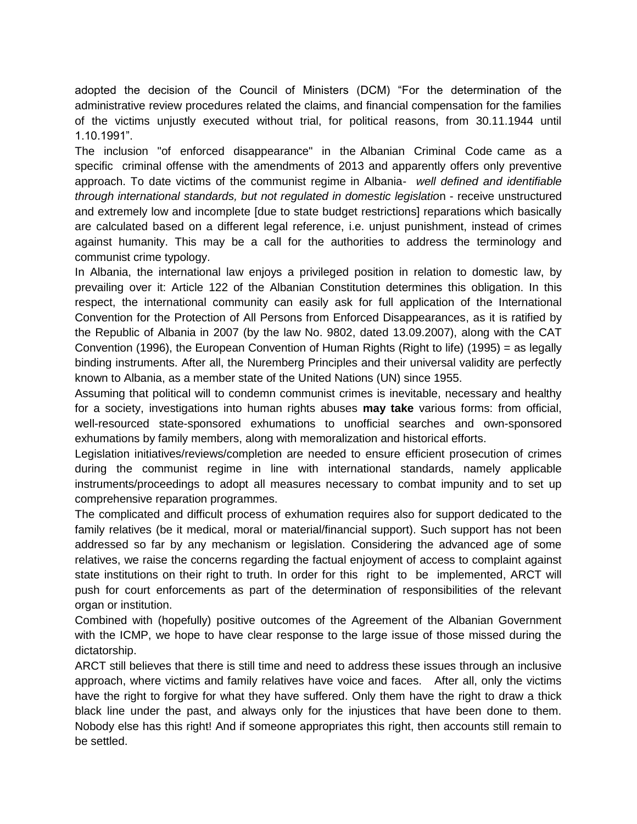adopted the decision of the Council of Ministers (DCM) "For the determination of the administrative review procedures related the claims, and financial compensation for the families of the victims unjustly executed without trial, for political reasons, from 30.11.1944 until 1.10.1991".

The inclusion "of enforced disappearance" in the Albanian Criminal Code came as a specific criminal offense with the amendments of 2013 and apparently offers only preventive approach. To date victims of the communist regime in Albania- *well defined and identifiable through international standards, but not regulated in domestic legislatio*n - receive unstructured and extremely low and incomplete [due to state budget restrictions] reparations which basically are calculated based on a different legal reference, i.e. unjust punishment, instead of crimes against humanity. This may be a call for the authorities to address the terminology and communist crime typology.

In Albania, the international law enjoys a privileged position in relation to domestic law, by prevailing over it: Article 122 of the Albanian Constitution determines this obligation. In this respect, the international community can easily ask for full application of the International Convention for the Protection of All Persons from Enforced Disappearances, as it is ratified by the Republic of Albania in 2007 (by the law No. 9802, dated 13.09.2007), along with the CAT Convention (1996), the European Convention of Human Rights (Right to life) (1995) = as legally binding instruments. After all, the Nuremberg Principles and their universal validity are perfectly known to Albania, as a member state of the United Nations (UN) since 1955.

Assuming that political will to condemn communist crimes is inevitable, necessary and healthy for a society, investigations into human rights abuses **may take** various forms: from official, well-resourced state-sponsored exhumations to unofficial searches and own-sponsored exhumations by family members, along with memoralization and historical efforts.

Legislation initiatives/reviews/completion are needed to ensure efficient prosecution of crimes during the communist regime in line with international standards, namely applicable instruments/proceedings to adopt all measures necessary to combat impunity and to set up comprehensive reparation programmes.

The complicated and difficult process of exhumation requires also for support dedicated to the family relatives (be it medical, moral or material/financial support). Such support has not been addressed so far by any mechanism or legislation. Considering the advanced age of some relatives, we raise the concerns regarding the factual enjoyment of access to complaint against state institutions on their right to truth. In order for this right to be implemented, ARCT will push for court enforcements as part of the determination of responsibilities of the relevant organ or institution.

Combined with (hopefully) positive outcomes of the Agreement of the Albanian Government with the ICMP, we hope to have clear response to the large issue of those missed during the dictatorship.

ARCT still believes that there is still time and need to address these issues through an inclusive approach, where victims and family relatives have voice and faces. After all, only the victims have the right to forgive for what they have suffered. Only them have the right to draw a thick black line under the past, and always only for the injustices that have been done to them. Nobody else has this right! And if someone appropriates this right, then accounts still remain to be settled.